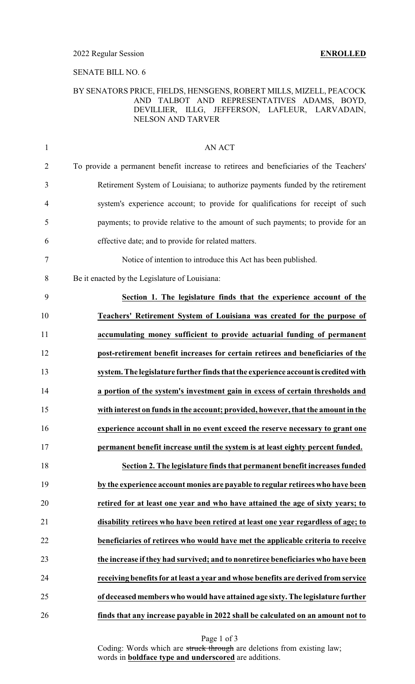#### SENATE BILL NO. 6

#### BY SENATORS PRICE, FIELDS, HENSGENS, ROBERT MILLS, MIZELL, PEACOCK AND TALBOT AND REPRESENTATIVES ADAMS, BOYD, DEVILLIER, ILLG, JEFFERSON, LAFLEUR, LARVADAIN, NELSON AND TARVER

| $\mathbf{1}$   | AN ACT                                                                                 |
|----------------|----------------------------------------------------------------------------------------|
| $\overline{2}$ | To provide a permanent benefit increase to retirees and beneficiaries of the Teachers' |
| 3              | Retirement System of Louisiana; to authorize payments funded by the retirement         |
| $\overline{4}$ | system's experience account; to provide for qualifications for receipt of such         |
| 5              | payments; to provide relative to the amount of such payments; to provide for an        |
| 6              | effective date; and to provide for related matters.                                    |
| 7              | Notice of intention to introduce this Act has been published.                          |
| 8              | Be it enacted by the Legislature of Louisiana:                                         |
| 9              | Section 1. The legislature finds that the experience account of the                    |
| 10             | Teachers' Retirement System of Louisiana was created for the purpose of                |
| 11             | accumulating money sufficient to provide actuarial funding of permanent                |
| 12             | post-retirement benefit increases for certain retirees and beneficiaries of the        |
| 13             | system. The legislature further finds that the experience account is credited with     |
| 14             | a portion of the system's investment gain in excess of certain thresholds and          |
| 15             | with interest on funds in the account; provided, however, that the amount in the       |
| 16             | experience account shall in no event exceed the reserve necessary to grant one         |
| 17             | permanent benefit increase until the system is at least eighty percent funded.         |
| 18             | Section 2. The legislature finds that permanent benefit increases funded               |
| 19             | by the experience account monies are payable to regular retirees who have been         |
| 20             | retired for at least one year and who have attained the age of sixty years; to         |
| 21             | disability retirees who have been retired at least one year regardless of age; to      |
| 22             | beneficiaries of retirees who would have met the applicable criteria to receive        |
| 23             | the increase if they had survived; and to nonretiree beneficiaries who have been       |
| 24             | receiving benefits for at least a year and whose benefits are derived from service     |
| 25             | of deceased members who would have attained age sixty. The legislature further         |
| 26             | finds that any increase payable in 2022 shall be calculated on an amount not to        |

Page 1 of 3

Coding: Words which are struck through are deletions from existing law; words in **boldface type and underscored** are additions.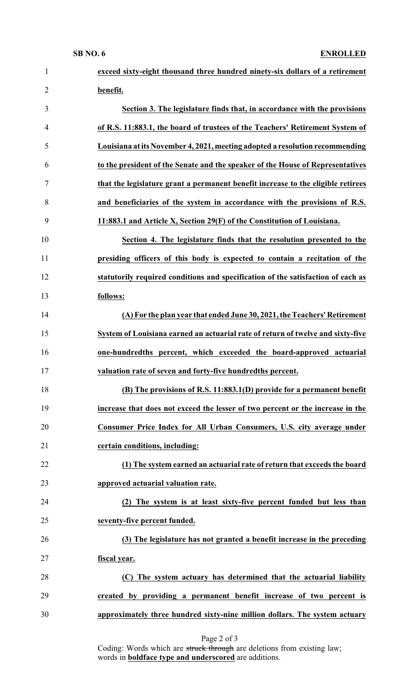| $\mathbf{1}$   | exceed sixty-eight thousand three hundred ninety-six dollars of a retirement     |
|----------------|----------------------------------------------------------------------------------|
| $\overline{2}$ | benefit.                                                                         |
| 3              | Section 3. The legislature finds that, in accordance with the provisions         |
| $\overline{4}$ | of R.S. 11:883.1, the board of trustees of the Teachers' Retirement System of    |
| 5              | Louisiana at its November 4, 2021, meeting adopted a resolution recommending     |
| 6              | to the president of the Senate and the speaker of the House of Representatives   |
| 7              | that the legislature grant a permanent benefit increase to the eligible retirees |
| 8              | and beneficiaries of the system in accordance with the provisions of R.S.        |
| 9              | 11:883.1 and Article X, Section 29(F) of the Constitution of Louisiana.          |
| 10             | Section 4. The legislature finds that the resolution presented to the            |
| 11             | presiding officers of this body is expected to contain a recitation of the       |
| 12             | statutorily required conditions and specification of the satisfaction of each as |
| 13             | follows:                                                                         |
| 14             | (A) For the plan year that ended June 30, 2021, the Teachers' Retirement         |
| 15             | System of Louisiana earned an actuarial rate of return of twelve and sixty-five  |
| 16             | one-hundredths percent, which exceeded the board-approved actuarial              |
| 17             | valuation rate of seven and forty-five hundredths percent.                       |
| 18             | (B) The provisions of R.S. 11:883.1(D) provide for a permanent benefit           |
| 19             | increase that does not exceed the lesser of two percent or the increase in the   |
| 20             | Consumer Price Index for All Urban Consumers, U.S. city average under            |
| 21             | certain conditions, including:                                                   |
| 22             | (1) The system earned an actuarial rate of return that exceeds the board         |
| 23             | approved actuarial valuation rate.                                               |
| 24             | (2) The system is at least sixty-five percent funded but less than               |
| 25             | seventy-five percent funded.                                                     |
| 26             | (3) The legislature has not granted a benefit increase in the preceding          |
| 27             | fiscal year.                                                                     |
| 28             | (C) The system actuary has determined that the actuarial liability               |
| 29             | created by providing a permanent benefit increase of two percent is              |
| 30             | approximately three hundred sixty-nine million dollars. The system actuary       |

Page 2 of 3

Coding: Words which are struck through are deletions from existing law; words in **boldface type and underscored** are additions.